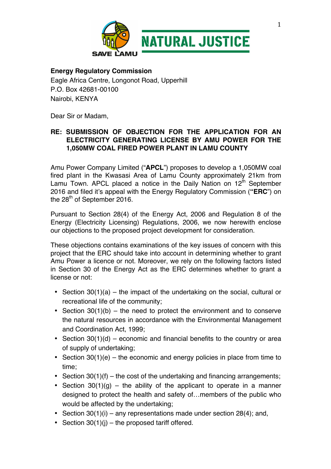

#### **Energy Regulatory Commission**

Eagle Africa Centre, Longonot Road, Upperhill P.O. Box 42681-00100 Nairobi, KENYA

Dear Sir or Madam,

## **RE: SUBMISSION OF OBJECTION FOR THE APPLICATION FOR AN ELECTRICITY GENERATING LICENSE BY AMU POWER FOR THE 1,050MW COAL FIRED POWER PLANT IN LAMU COUNTY**

Amu Power Company Limited ("**APCL**") proposes to develop a 1,050MW coal fired plant in the Kwasasi Area of Lamu County approximately 21km from Lamu Town. APCL placed a notice in the Daily Nation on  $12<sup>th</sup>$  September 2016 and filed it's appeal with the Energy Regulatory Commission (**"ERC**") on the  $28<sup>th</sup>$  of September 2016.

Pursuant to Section 28(4) of the Energy Act, 2006 and Regulation 8 of the Energy (Electricity Licensing) Regulations, 2006, we now herewith enclose our objections to the proposed project development for consideration.

These objections contains examinations of the key issues of concern with this project that the ERC should take into account in determining whether to grant Amu Power a licence or not. Moreover, we rely on the following factors listed in Section 30 of the Energy Act as the ERC determines whether to grant a license or not:

- Section 30(1)(a) the impact of the undertaking on the social, cultural or recreational life of the community;
- Section  $30(1)(b)$  the need to protect the environment and to conserve the natural resources in accordance with the Environmental Management and Coordination Act, 1999;
- Section  $30(1)(d)$  economic and financial benefits to the country or area of supply of undertaking;
- Section  $30(1)(e)$  the economic and energy policies in place from time to time;
- Section  $30(1)(f)$  the cost of the undertaking and financing arrangements;
- Section  $30(1)(g)$  the ability of the applicant to operate in a manner designed to protect the health and safety of…members of the public who would be affected by the undertaking;
- Section  $30(1)(i)$  any representations made under section 28(4); and,
- Section  $30(1)(i)$  the proposed tariff offered.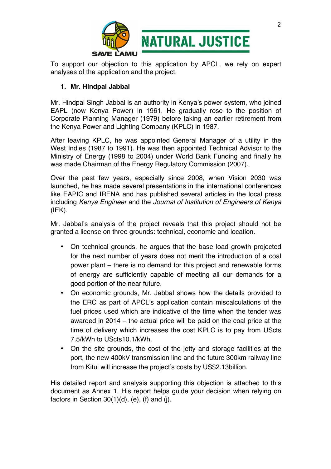

To support our objection to this application by APCL, we rely on expert analyses of the application and the project.

# **1. Mr. Hindpal Jabbal**

Mr. Hindpal Singh Jabbal is an authority in Kenya's power system, who joined EAPL (now Kenya Power) in 1961. He gradually rose to the position of Corporate Planning Manager (1979) before taking an earlier retirement from the Kenya Power and Lighting Company (KPLC) in 1987.

After leaving KPLC, he was appointed General Manager of a utility in the West Indies (1987 to 1991). He was then appointed Technical Advisor to the Ministry of Energy (1998 to 2004) under World Bank Funding and finally he was made Chairman of the Energy Regulatory Commission (2007).

Over the past few years, especially since 2008, when Vision 2030 was launched, he has made several presentations in the international conferences like EAPIC and IRENA and has published several articles in the local press including *Kenya Engineer* and the *Journal of Institution of Engineers of Kenya*   $(IEK)$ .

Mr. Jabbal's analysis of the project reveals that this project should not be granted a license on three grounds: technical, economic and location.

- On technical grounds, he argues that the base load growth projected for the next number of years does not merit the introduction of a coal power plant – there is no demand for this project and renewable forms of energy are sufficiently capable of meeting all our demands for a good portion of the near future.
- On economic grounds, Mr. Jabbal shows how the details provided to the ERC as part of APCL's application contain miscalculations of the fuel prices used which are indicative of the time when the tender was awarded in 2014 – the actual price will be paid on the coal price at the time of delivery which increases the cost KPLC is to pay from UScts 7.5/kWh to UScts10.1/kWh.
- On the site grounds, the cost of the jetty and storage facilities at the port, the new 400kV transmission line and the future 300km railway line from Kitui will increase the project's costs by US\$2.13billion.

His detailed report and analysis supporting this objection is attached to this document as Annex 1. His report helps guide your decision when relying on factors in Section  $30(1)(d)$ , (e), (f) and (j).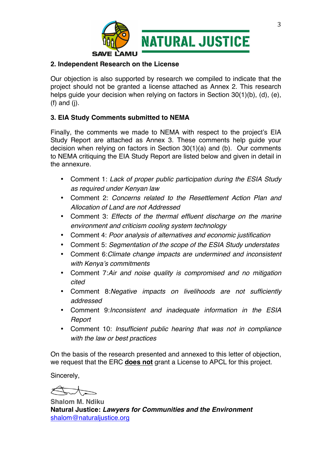

### **2. Independent Research on the License**

Our objection is also supported by research we compiled to indicate that the project should not be granted a license attached as Annex 2. This research helps quide your decision when relying on factors in Section 30(1)(b), (d), (e), (f) and (j).

## **3. EIA Study Comments submitted to NEMA**

Finally, the comments we made to NEMA with respect to the project's EIA Study Report are attached as Annex 3. These comments help guide your decision when relying on factors in Section 30(1)(a) and (b). Our comments to NEMA critiquing the EIA Study Report are listed below and given in detail in the annexure.

- Comment 1: *Lack of proper public participation during the ESIA Study as required under Kenyan law*
- Comment 2: *Concerns related to the Resettlement Action Plan and Allocation of Land are not Addressed*
- Comment 3: *Effects of the thermal effluent discharge on the marine environment and criticism cooling system technology*
- Comment 4: *Poor analysis of alternatives and economic justification*
- Comment 5: *Segmentation of the scope of the ESIA Study understates*
- Comment 6:*Climate change impacts are undermined and inconsistent with Kenya's commitments*
- Comment 7:*Air and noise quality is compromised and no mitigation cited*
- Comment 8:*Negative impacts on livelihoods are not sufficiently addressed*
- Comment 9:*Inconsistent and inadequate information in the ESIA Report*
- Comment 10: *Insufficient public hearing that was not in compliance with the law or best practices*

On the basis of the research presented and annexed to this letter of objection, we request that the ERC **does not** grant a License to APCL for this project.

Sincerely,

**Shalom M. Ndiku Natural Justice:** *Lawyers for Communities and the Environment*  shalom@naturaljustice.org